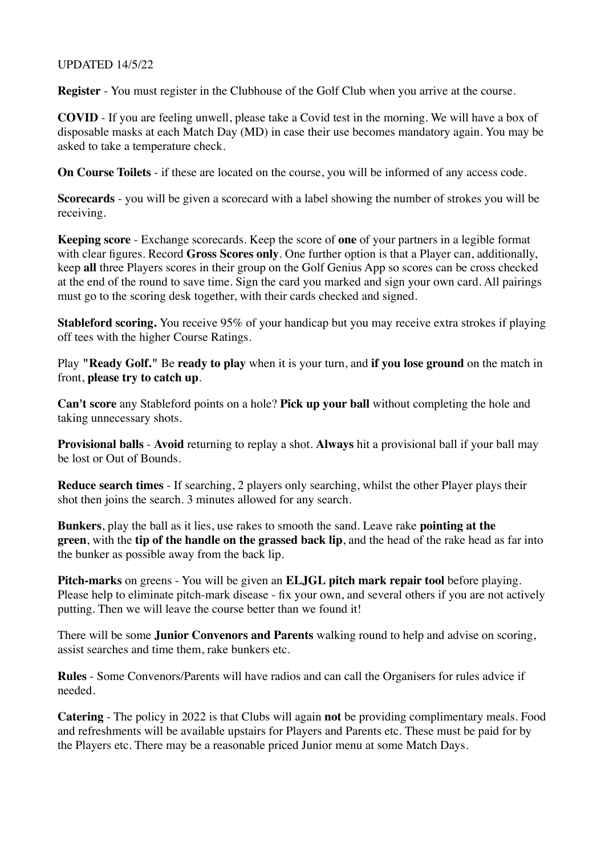## UPDATED 14/5/22

**Register** - You must register in the Clubhouse of the Golf Club when you arrive at the course.

**COVID** - If you are feeling unwell, please take a Covid test in the morning. We will have a box of disposable masks at each Match Day (MD) in case their use becomes mandatory again. You may be asked to take a temperature check.

**On Course Toilets** - if these are located on the course, you will be informed of any access code.

**Scorecards** - you will be given a scorecard with a label showing the number of strokes you will be receiving.

**Keeping score** - Exchange scorecards. Keep the score of **one** of your partners in a legible format with clear figures. Record **Gross Scores only**. One further option is that a Player can, additionally, keep **all** three Players scores in their group on the Golf Genius App so scores can be cross checked at the end of the round to save time. Sign the card you marked and sign your own card. All pairings must go to the scoring desk together, with their cards checked and signed.

**Stableford scoring.** You receive 95% of your handicap but you may receive extra strokes if playing off tees with the higher Course Ratings.

Play **"Ready Golf."** Be **ready to play** when it is your turn, and **if you lose ground** on the match in front, **please try to catch up**.

**Can't score** any Stableford points on a hole? **Pick up your ball** without completing the hole and taking unnecessary shots.

**Provisional balls** - **Avoid** returning to replay a shot. **Always** hit a provisional ball if your ball may be lost or Out of Bounds.

**Reduce search times** - If searching, 2 players only searching, whilst the other Player plays their shot then joins the search. 3 minutes allowed for any search.

**Bunkers**, play the ball as it lies, use rakes to smooth the sand. Leave rake **pointing at the green**, with the **tip of the handle on the grassed back lip**, and the head of the rake head as far into the bunker as possible away from the back lip.

**Pitch-marks** on greens - You will be given an **ELJGL pitch mark repair tool** before playing. Please help to eliminate pitch-mark disease - fix your own, and several others if you are not actively putting. Then we will leave the course better than we found it!

There will be some **Junior Convenors and Parents** walking round to help and advise on scoring, assist searches and time them, rake bunkers etc.

**Rules** - Some Convenors/Parents will have radios and can call the Organisers for rules advice if needed.

**Catering** - The policy in 2022 is that Clubs will again **not** be providing complimentary meals. Food and refreshments will be available upstairs for Players and Parents etc. These must be paid for by the Players etc. There may be a reasonable priced Junior menu at some Match Days.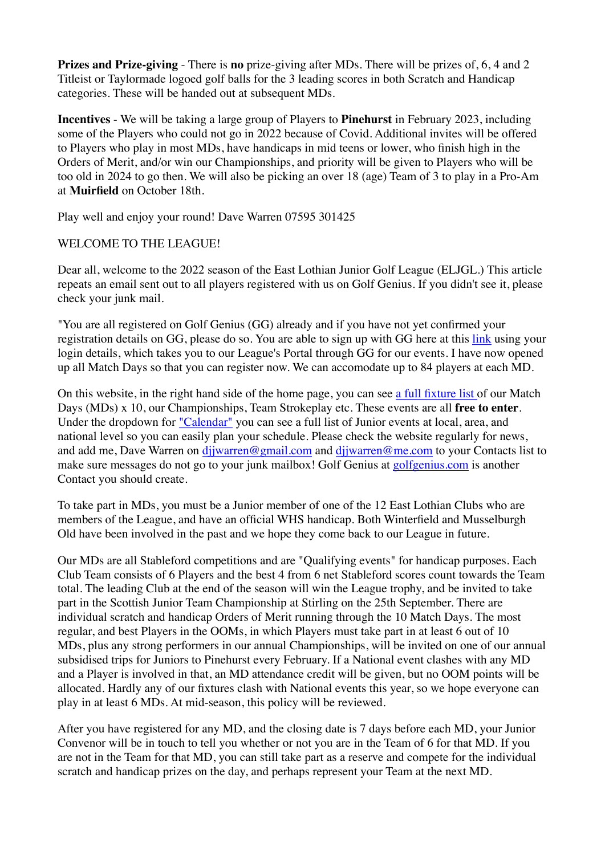**Prizes and Prize-giving** - There is **no** prize-giving after MDs. There will be prizes of, 6, 4 and 2 Titleist or Taylormade logoed golf balls for the 3 leading scores in both Scratch and Handicap categories. These will be handed out at subsequent MDs.

**Incentives** - We will be taking a large group of Players to **Pinehurst** in February 2023, including some of the Players who could not go in 2022 because of Covid. Additional invites will be offered to Players who play in most MDs, have handicaps in mid teens or lower, who finish high in the Orders of Merit, and/or win our Championships, and priority will be given to Players who will be too old in 2024 to go then. We will also be picking an over 18 (age) Team of 3 to play in a Pro-Am at **Muirfield** on October 18th.

Play well and enjoy your round! Dave Warren 07595 301425

## WELCOME TO THE LEAGUE!

Dear all, welcome to the 2022 season of the East Lothian Junior Golf League (ELJGL.) This article repeats an email sent out to all players registered with us on Golf Genius. If you didn't see it, please check your junk mail.

"You are all registered on Golf Genius (GG) already and if you have not yet confirmed your registration details on GG, please do so. You are able to sign up with GG here at this [link](https://click.golfgenius.com/f/a/sUdNpRoYvn40nVZ20KSLkg~~/AAD9TwA~/RgRj9kRXP0RRaHR0cHM6Ly9lbGpsLWVhc3Rsb3RoaWFuanVuaW9ybGVhZ3VlMjAyMS5nb2xmZ2VuaXVzLmNvbS9wYWdlcy82NzA1MTYwOTg5NTE3NTcwODI2VwNzcGNCCmIF1xAVYjBPFb5SEGRqandhcnJlbkBtZS5jb21YBAAAAAA~) using your login details, which takes you to our League's Portal through GG for our events. I have now opened up all Match Days so that you can register now. We can accomodate up to 84 players at each MD.

On this website, in the right hand side of the home page, you can see [a full fixture list o](https://click.golfgenius.com/f/a/1COh6LYJaAX8tJNK69ICXA~~/AAD9TwA~/RgRj9kRXP0RlaHR0cHM6Ly9lYXN0bG90aGlhbmp1bmlvcmdvbGYub3JnLnVrL3dwLWNvbnRlbnQvdXBsb2Fkcy8yMDIyLzAxL1NjcmVlbnNob3QtMjAyMi0wMS0yNS1hdC0wNy4zNy4wNy5wbmdXA3NwY0IKYgXXEBViME8VvlIQZGpqd2FycmVuQG1lLmNvbVgEAAAAAA~~)f our Match Days (MDs) x 10, our Championships, Team Strokeplay etc. These events are all **free to enter**. Under the dropdown for ["Calendar"](https://click.golfgenius.com/f/a/YZ85-1fPvd8BpyhGIS1E3Q~~/AAD9TwA~/RgRj9kRXP0QtaHR0cHM6Ly9lYXN0bG90aGlhbmp1bmlvcmdvbGYub3JnLnVrL2V2ZW50czIvVwNzcGNCCmIF1xAVYjBPFb5SEGRqandhcnJlbkBtZS5jb21YBAAAAAA~) you can see a full list of Junior events at local, area, and national level so you can easily plan your schedule. Please check the website regularly for news, and add me, Dave Warren on dijwarren@gmail.com and dijwarren@me.com to your Contacts list to make sure messages do not go to your junk mailbox! Golf Genius at [golfgenius.com](http://golfgenius.com/) is another Contact you should create.

To take part in MDs, you must be a Junior member of one of the 12 East Lothian Clubs who are members of the League, and have an official WHS handicap. Both Winterfield and Musselburgh Old have been involved in the past and we hope they come back to our League in future.

Our MDs are all Stableford competitions and are "Qualifying events" for handicap purposes. Each Club Team consists of 6 Players and the best 4 from 6 net Stableford scores count towards the Team total. The leading Club at the end of the season will win the League trophy, and be invited to take part in the Scottish Junior Team Championship at Stirling on the 25th September. There are individual scratch and handicap Orders of Merit running through the 10 Match Days. The most regular, and best Players in the OOMs, in which Players must take part in at least 6 out of 10 MDs, plus any strong performers in our annual Championships, will be invited on one of our annual subsidised trips for Juniors to Pinehurst every February. If a National event clashes with any MD and a Player is involved in that, an MD attendance credit will be given, but no OOM points will be allocated. Hardly any of our fixtures clash with National events this year, so we hope everyone can play in at least 6 MDs. At mid-season, this policy will be reviewed.

After you have registered for any MD, and the closing date is 7 days before each MD, your Junior Convenor will be in touch to tell you whether or not you are in the Team of 6 for that MD. If you are not in the Team for that MD, you can still take part as a reserve and compete for the individual scratch and handicap prizes on the day, and perhaps represent your Team at the next MD.